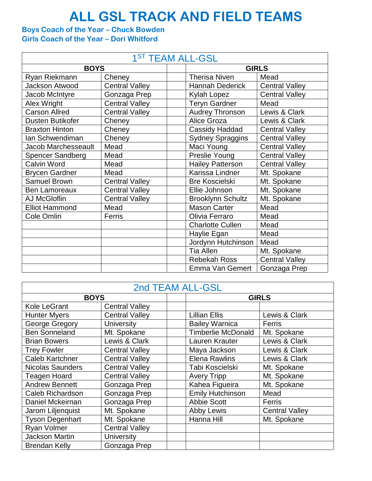## **ALL GSL TRACK AND FIELD TEAMS**

## **Boys Coach of the Year – Chuck Bowden Girls Coach of the Year – Dori Whitford**

| 1 <sup>ST</sup> TEAM ALL-GSL |                       |                          |                       |  |  |  |
|------------------------------|-----------------------|--------------------------|-----------------------|--|--|--|
| <b>BOYS</b>                  |                       |                          | <b>GIRLS</b>          |  |  |  |
| Ryan Riekmann                | Cheney                | <b>Therisa Niven</b>     | Mead                  |  |  |  |
| <b>Jackson Atwood</b>        | <b>Central Valley</b> | <b>Hannah Dederick</b>   | <b>Central Valley</b> |  |  |  |
| Jacob McIntyre               | Gonzaga Prep          | Kylah Lopez              | <b>Central Valley</b> |  |  |  |
| Alex Wright                  | <b>Central Valley</b> | <b>Teryn Gardner</b>     | Mead                  |  |  |  |
| <b>Carson Allred</b>         | <b>Central Valley</b> | <b>Audrey Thronson</b>   | Lewis & Clark         |  |  |  |
| Dusten Butikofer             | Cheney                | Alice Groza              | Lewis & Clark         |  |  |  |
| <b>Braxton Hinton</b>        | Cheney                | Cassidy Haddad           | <b>Central Valley</b> |  |  |  |
| Ian Schwendiman              | Cheney                | <b>Sydney Spraggins</b>  | <b>Central Valley</b> |  |  |  |
| <b>Jacob Marchesseault</b>   | Mead                  | Maci Young               | <b>Central Valley</b> |  |  |  |
| <b>Spencer Sandberg</b>      | Mead                  | Preslie Young            | <b>Central Valley</b> |  |  |  |
| Calvin Word                  | Mead                  | <b>Hailey Patterson</b>  | <b>Central Valley</b> |  |  |  |
| <b>Brycen Gardner</b>        | Mead                  | Karissa Lindner          | Mt. Spokane           |  |  |  |
| <b>Samuel Brown</b>          | <b>Central Valley</b> | <b>Bre Koscielski</b>    | Mt. Spokane           |  |  |  |
| <b>Ben Lamoreaux</b>         | <b>Central Valley</b> | Ellie Johnson            | Mt. Spokane           |  |  |  |
| <b>AJ McGloflin</b>          | <b>Central Valley</b> | <b>Brooklynn Schultz</b> | Mt. Spokane           |  |  |  |
| <b>Elliot Hammond</b>        | Mead                  | <b>Mason Carter</b>      | Mead                  |  |  |  |
| Cole Omlin                   | Ferris                | Olivia Ferraro           | Mead                  |  |  |  |
|                              |                       | <b>Charlotte Cullen</b>  | Mead                  |  |  |  |
|                              |                       | Haylie Egan              | Mead                  |  |  |  |
|                              |                       | Jordynn Hutchinson       | Mead                  |  |  |  |
|                              |                       | <b>Tia Allen</b>         | Mt. Spokane           |  |  |  |
|                              |                       | <b>Rebekah Ross</b>      | <b>Central Valley</b> |  |  |  |
|                              |                       | Emma Van Gemert          | Gonzaga Prep          |  |  |  |

## 2nd TEAM ALL-GSL

| ZIIU TEAITALE-VUL       |                       |                           |                       |  |  |  |
|-------------------------|-----------------------|---------------------------|-----------------------|--|--|--|
| <b>BOYS</b>             |                       | <b>GIRLS</b>              |                       |  |  |  |
| Kole LeGrant            | <b>Central Valley</b> |                           |                       |  |  |  |
| <b>Hunter Myers</b>     | <b>Central Valley</b> | <b>Lillian Ellis</b>      | Lewis & Clark         |  |  |  |
| George Gregory          | <b>University</b>     | <b>Bailey Warnica</b>     | Ferris                |  |  |  |
| <b>Ben Sonneland</b>    | Mt. Spokane           | <b>Timberlie McDonald</b> | Mt. Spokane           |  |  |  |
| <b>Brian Bowers</b>     | Lewis & Clark         | Lauren Krauter            | Lewis & Clark         |  |  |  |
| <b>Trey Fowler</b>      | <b>Central Valley</b> | Maya Jackson              | Lewis & Clark         |  |  |  |
| <b>Caleb Kartchner</b>  | <b>Central Valley</b> | <b>Elena Rawlins</b>      | Lewis & Clark         |  |  |  |
| <b>Nicolas Saunders</b> | <b>Central Valley</b> | Tabi Koscielski           | Mt. Spokane           |  |  |  |
| <b>Teagen Hoard</b>     | <b>Central Valley</b> | <b>Avery Tripp</b>        | Mt. Spokane           |  |  |  |
| <b>Andrew Bennett</b>   | Gonzaga Prep          | Kahea Figueira            | Mt. Spokane           |  |  |  |
| Caleb Richardson        | Gonzaga Prep          | <b>Emily Hutchinson</b>   | Mead                  |  |  |  |
| Daniel Mckeirnan        | Gonzaga Prep          | <b>Abbie Scott</b>        | Ferris                |  |  |  |
| Jarom Liljenquist       | Mt. Spokane           | <b>Abby Lewis</b>         | <b>Central Valley</b> |  |  |  |
| <b>Tyson Degenhart</b>  | Mt. Spokane           | Hanna Hill                | Mt. Spokane           |  |  |  |
| Ryan Volmer             | <b>Central Valley</b> |                           |                       |  |  |  |
| Jackson Martin          | <b>University</b>     |                           |                       |  |  |  |
| <b>Brendan Kelly</b>    | Gonzaga Prep          |                           |                       |  |  |  |